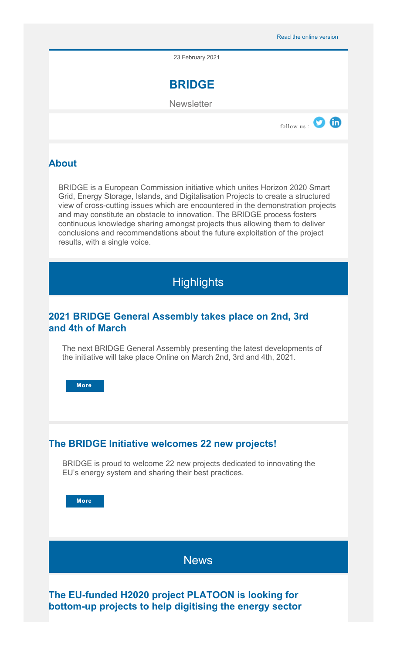23 February 2021



**Newsletter** 



## **About**

BRIDGE is a European Commission initiative which unites Horizon 2020 Smart Grid, Energy Storage, Islands, and Digitalisation Projects to create a structured view of cross-cutting issues which are encountered in the demonstration projects and may constitute an obstacle to innovation. The BRIDGE process fosters continuous knowledge sharing amongst projects thus allowing them to deliver conclusions and recommendations about the future exploitation of the project results, with a single voice.



## **2021 BRIDGE General Assembly takes place on 2nd, 3rd and 4th of March**

The next BRIDGE General Assembly presenting the latest developments of the initiative will take place Online on March 2nd, 3rd and 4th, 2021.

**[More](https://ec.europa.eu/newsroom/dae/redirection.cfm?item_id=702804&newsletter=2172&lang=default)** 

## **The BRIDGE Initiative welcomes 22 new projects!**

BRIDGE is proud to welcome 22 new projects dedicated to innovating the EU's energy system and sharing their best practices.

**[More](https://ec.europa.eu/newsroom/dae/redirection.cfm?item_id=702801&newsletter=2172&lang=default)** 

**News** 

**The EU-funded H2020 project PLATOON is looking for bottom-up projects to help digitising the energy sector**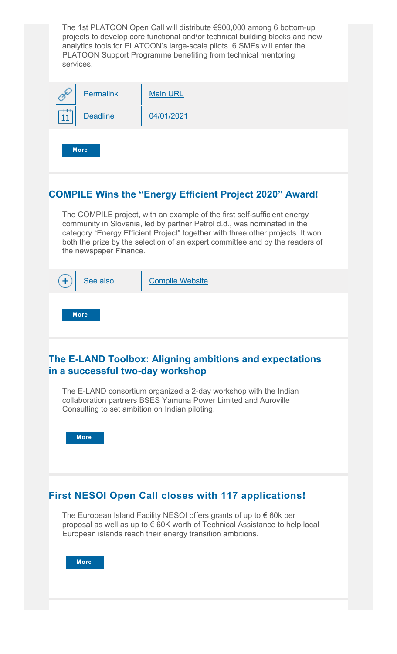